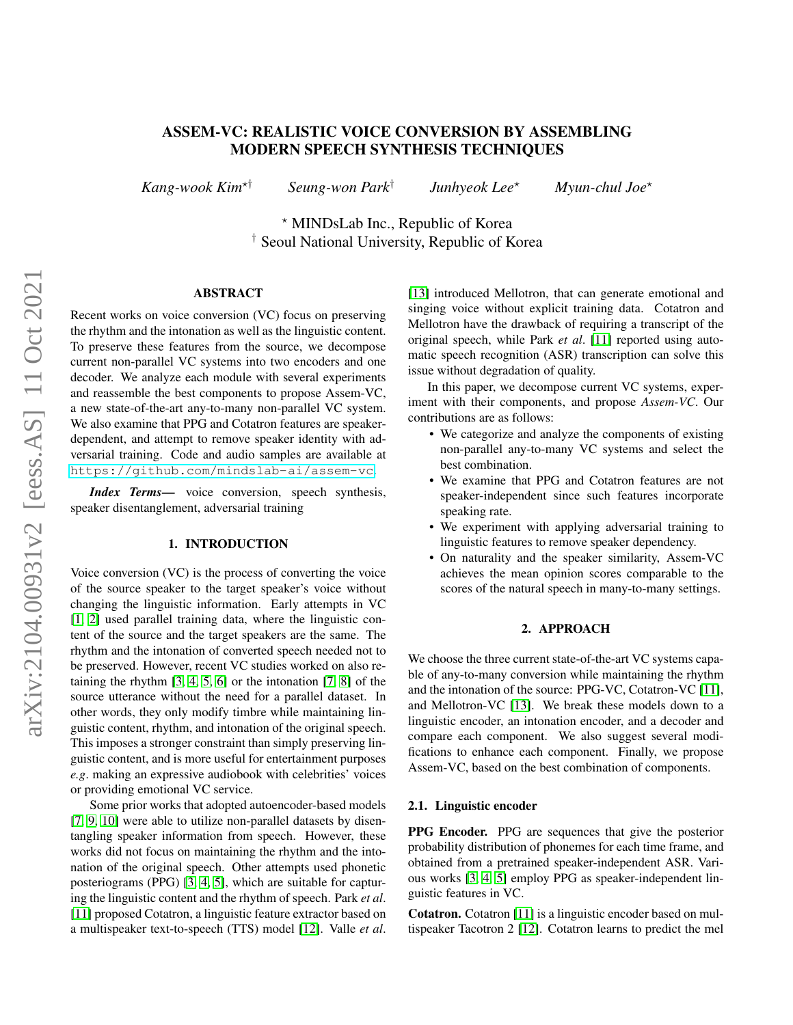# ASSEM-VC: REALISTIC VOICE CONVERSION BY ASSEMBLING MODERN SPEECH SYNTHESIS TECHNIQUES

*Kang-wook Kim*?† *Seung-won Park*†

*Junhyeok Lee*? *Myun-chul Joe*?

? MINDsLab Inc., Republic of Korea † Seoul National University, Republic of Korea

# **ABSTRACT**

Recent works on voice conversion (VC) focus on preserving the rhythm and the intonation as well as the linguistic content. To preserve these features from the source, we decompose current non-parallel VC systems into two encoders and one decoder. We analyze each module with several experiments and reassemble the best components to propose Assem-VC, a new state-of-the-art any-to-many non-parallel VC system. We also examine that PPG and Cotatron features are speakerdependent, and attempt to remove speaker identity with adversarial training. Code and audio samples are available at <https://github.com/mindslab-ai/assem-vc>.

*Index Terms*— voice conversion, speech synthesis, speaker disentanglement, adversarial training

## 1. INTRODUCTION

Voice conversion (VC) is the process of converting the voice of the source speaker to the target speaker's voice without changing the linguistic information. Early attempts in VC [\[1,](#page-4-0) [2\]](#page-4-1) used parallel training data, where the linguistic content of the source and the target speakers are the same. The rhythm and the intonation of converted speech needed not to be preserved. However, recent VC studies worked on also retaining the rhythm  $[3, 4, 5, 6]$  $[3, 4, 5, 6]$  $[3, 4, 5, 6]$  $[3, 4, 5, 6]$  or the intonation  $[7, 8]$  $[7, 8]$  of the source utterance without the need for a parallel dataset. In other words, they only modify timbre while maintaining linguistic content, rhythm, and intonation of the original speech. This imposes a stronger constraint than simply preserving linguistic content, and is more useful for entertainment purposes *e.g*. making an expressive audiobook with celebrities' voices or providing emotional VC service.

Some prior works that adopted autoencoder-based models [\[7,](#page-4-6) [9,](#page-4-8) [10\]](#page-4-9) were able to utilize non-parallel datasets by disentangling speaker information from speech. However, these works did not focus on maintaining the rhythm and the intonation of the original speech. Other attempts used phonetic posteriograms (PPG) [\[3,](#page-4-2) [4,](#page-4-3) [5\]](#page-4-4), which are suitable for capturing the linguistic content and the rhythm of speech. Park *et al*. [\[11\]](#page-4-10) proposed Cotatron, a linguistic feature extractor based on a multispeaker text-to-speech (TTS) model [\[12\]](#page-4-11). Valle *et al*.

[\[13\]](#page-4-12) introduced Mellotron, that can generate emotional and singing voice without explicit training data. Cotatron and Mellotron have the drawback of requiring a transcript of the original speech, while Park *et al*. [\[11\]](#page-4-10) reported using automatic speech recognition (ASR) transcription can solve this issue without degradation of quality.

In this paper, we decompose current VC systems, experiment with their components, and propose *Assem-VC*. Our contributions are as follows:

- We categorize and analyze the components of existing non-parallel any-to-many VC systems and select the best combination.
- We examine that PPG and Cotatron features are not speaker-independent since such features incorporate speaking rate.
- We experiment with applying adversarial training to linguistic features to remove speaker dependency.
- On naturality and the speaker similarity, Assem-VC achieves the mean opinion scores comparable to the scores of the natural speech in many-to-many settings.

## 2. APPROACH

We choose the three current state-of-the-art VC systems capable of any-to-many conversion while maintaining the rhythm and the intonation of the source: PPG-VC, Cotatron-VC [\[11\]](#page-4-10), and Mellotron-VC [\[13\]](#page-4-12). We break these models down to a linguistic encoder, an intonation encoder, and a decoder and compare each component. We also suggest several modifications to enhance each component. Finally, we propose Assem-VC, based on the best combination of components.

#### 2.1. Linguistic encoder

PPG Encoder. PPG are sequences that give the posterior probability distribution of phonemes for each time frame, and obtained from a pretrained speaker-independent ASR. Various works [\[3,](#page-4-2) [4,](#page-4-3) [5\]](#page-4-4) employ PPG as speaker-independent linguistic features in VC.

Cotatron. Cotatron [\[11\]](#page-4-10) is a linguistic encoder based on multispeaker Tacotron 2 [\[12\]](#page-4-11). Cotatron learns to predict the mel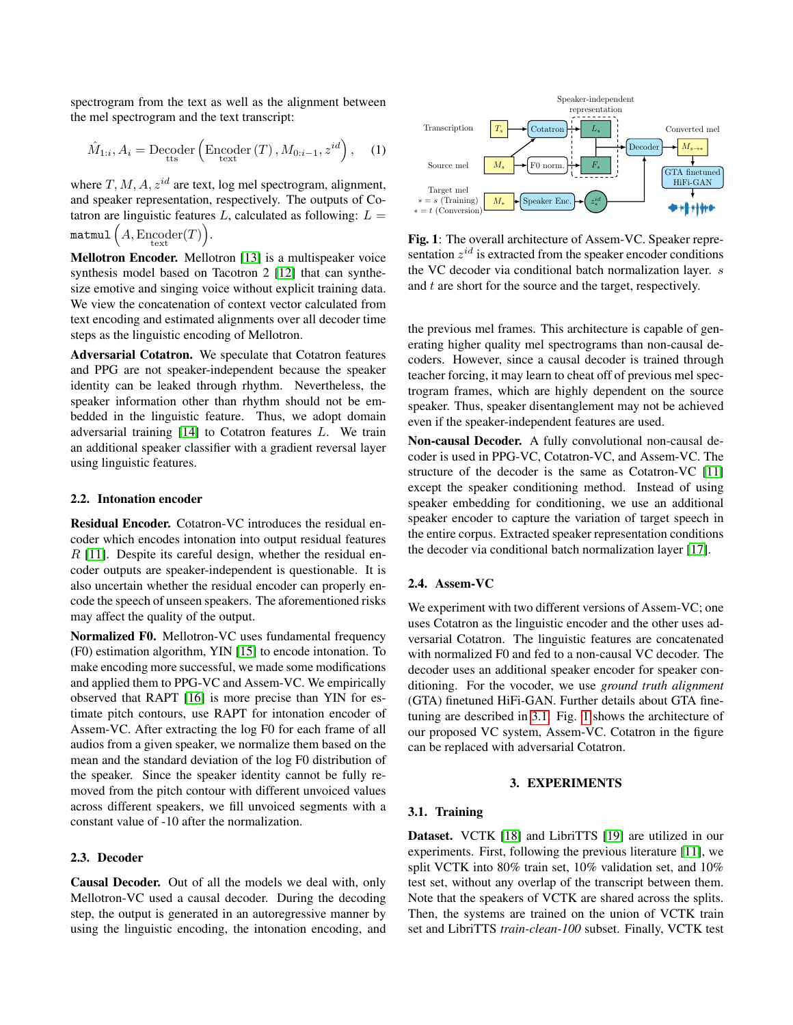spectrogram from the text as well as the alignment between the mel spectrogram and the text transcript:

$$
\hat{M}_{1:i}, A_i = \text{Decoder}\left(\text{Encoder}\left(T\right), M_{0:i-1}, z^{id}\right), \quad (1)
$$

where T, M, A,  $z^{id}$  are text, log mel spectrogram, alignment, and speaker representation, respectively. The outputs of Cotatron are linguistic features L, calculated as following:  $L =$  $\begin{aligned} \texttt{matmul}\left(A, \text{Encoder}(T)\right). \end{aligned}$ 

Mellotron Encoder. Mellotron [\[13\]](#page-4-12) is a multispeaker voice synthesis model based on Tacotron 2 [\[12\]](#page-4-11) that can synthesize emotive and singing voice without explicit training data. We view the concatenation of context vector calculated from text encoding and estimated alignments over all decoder time steps as the linguistic encoding of Mellotron.

Adversarial Cotatron. We speculate that Cotatron features and PPG are not speaker-independent because the speaker identity can be leaked through rhythm. Nevertheless, the speaker information other than rhythm should not be embedded in the linguistic feature. Thus, we adopt domain adversarial training [\[14\]](#page-4-13) to Cotatron features L. We train an additional speaker classifier with a gradient reversal layer using linguistic features.

#### 2.2. Intonation encoder

Residual Encoder. Cotatron-VC introduces the residual encoder which encodes intonation into output residual features  $R$  [\[11\]](#page-4-10). Despite its careful design, whether the residual encoder outputs are speaker-independent is questionable. It is also uncertain whether the residual encoder can properly encode the speech of unseen speakers. The aforementioned risks may affect the quality of the output.

Normalized F0. Mellotron-VC uses fundamental frequency (F0) estimation algorithm, YIN [\[15\]](#page-4-14) to encode intonation. To make encoding more successful, we made some modifications and applied them to PPG-VC and Assem-VC. We empirically observed that RAPT [\[16\]](#page-4-15) is more precise than YIN for estimate pitch contours, use RAPT for intonation encoder of Assem-VC. After extracting the log F0 for each frame of all audios from a given speaker, we normalize them based on the mean and the standard deviation of the log F0 distribution of the speaker. Since the speaker identity cannot be fully removed from the pitch contour with different unvoiced values across different speakers, we fill unvoiced segments with a constant value of -10 after the normalization.

#### 2.3. Decoder

Causal Decoder. Out of all the models we deal with, only Mellotron-VC used a causal decoder. During the decoding step, the output is generated in an autoregressive manner by using the linguistic encoding, the intonation encoding, and

<span id="page-1-1"></span>

Fig. 1: The overall architecture of Assem-VC. Speaker representation  $z^{id}$  is extracted from the speaker encoder conditions the VC decoder via conditional batch normalization layer. s and t are short for the source and the target, respectively.

the previous mel frames. This architecture is capable of generating higher quality mel spectrograms than non-causal decoders. However, since a causal decoder is trained through teacher forcing, it may learn to cheat off of previous mel spectrogram frames, which are highly dependent on the source speaker. Thus, speaker disentanglement may not be achieved even if the speaker-independent features are used.

Non-causal Decoder. A fully convolutional non-causal decoder is used in PPG-VC, Cotatron-VC, and Assem-VC. The structure of the decoder is the same as Cotatron-VC [\[11\]](#page-4-10) except the speaker conditioning method. Instead of using speaker embedding for conditioning, we use an additional speaker encoder to capture the variation of target speech in the entire corpus. Extracted speaker representation conditions the decoder via conditional batch normalization layer [\[17\]](#page-4-16).

## 2.4. Assem-VC

We experiment with two different versions of Assem-VC; one uses Cotatron as the linguistic encoder and the other uses adversarial Cotatron. The linguistic features are concatenated with normalized F0 and fed to a non-causal VC decoder. The decoder uses an additional speaker encoder for speaker conditioning. For the vocoder, we use *ground truth alignment* (GTA) finetuned HiFi-GAN. Further details about GTA finetuning are described in [3.1.](#page-1-0) Fig. [1](#page-1-1) shows the architecture of our proposed VC system, Assem-VC. Cotatron in the figure can be replaced with adversarial Cotatron.

# 3. EXPERIMENTS

## <span id="page-1-0"></span>3.1. Training

Dataset. VCTK [\[18\]](#page-4-17) and LibriTTS [\[19\]](#page-4-18) are utilized in our experiments. First, following the previous literature [\[11\]](#page-4-10), we split VCTK into 80% train set, 10% validation set, and 10% test set, without any overlap of the transcript between them. Note that the speakers of VCTK are shared across the splits. Then, the systems are trained on the union of VCTK train set and LibriTTS *train-clean-100* subset. Finally, VCTK test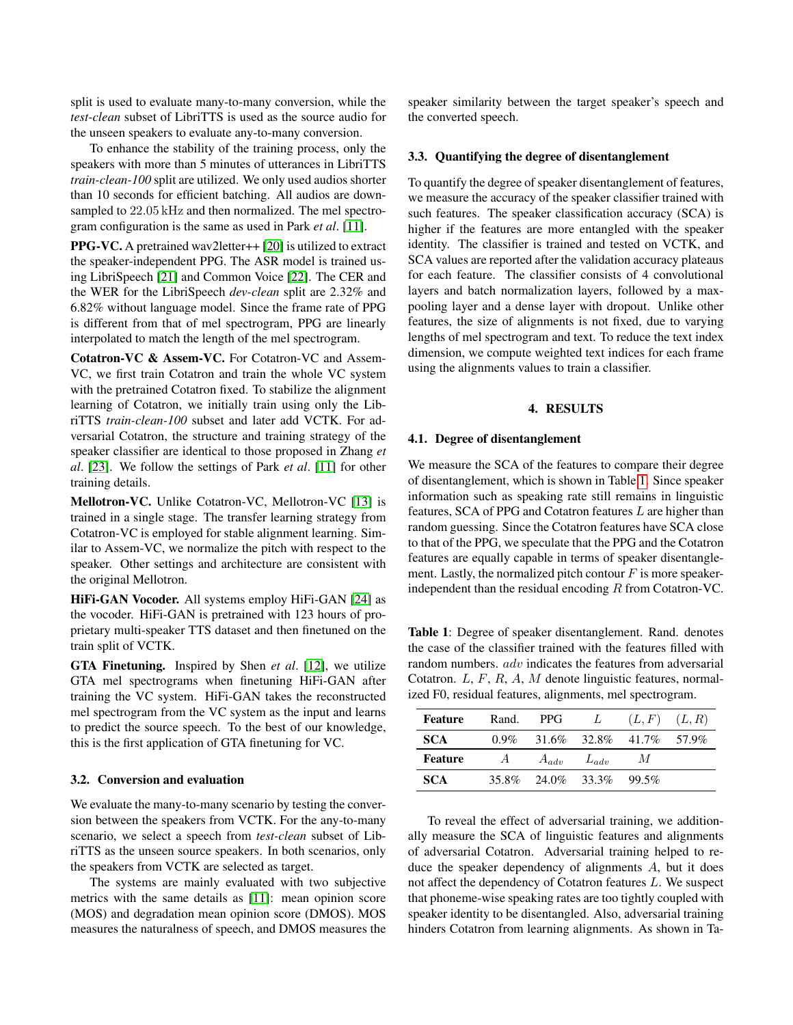split is used to evaluate many-to-many conversion, while the *test-clean* subset of LibriTTS is used as the source audio for the unseen speakers to evaluate any-to-many conversion.

To enhance the stability of the training process, only the speakers with more than 5 minutes of utterances in LibriTTS *train-clean-100* split are utilized. We only used audios shorter than 10 seconds for efficient batching. All audios are downsampled to 22.05 kHz and then normalized. The mel spectrogram configuration is the same as used in Park *et al*. [\[11\]](#page-4-10).

PPG-VC. A pretrained wav2letter++ [\[20\]](#page-4-19) is utilized to extract the speaker-independent PPG. The ASR model is trained using LibriSpeech [\[21\]](#page-4-20) and Common Voice [\[22\]](#page-4-21). The CER and the WER for the LibriSpeech *dev-clean* split are 2.32% and 6.82% without language model. Since the frame rate of PPG is different from that of mel spectrogram, PPG are linearly interpolated to match the length of the mel spectrogram.

Cotatron-VC & Assem-VC. For Cotatron-VC and Assem-VC, we first train Cotatron and train the whole VC system with the pretrained Cotatron fixed. To stabilize the alignment learning of Cotatron, we initially train using only the LibriTTS *train-clean-100* subset and later add VCTK. For adversarial Cotatron, the structure and training strategy of the speaker classifier are identical to those proposed in Zhang *et al*. [\[23\]](#page-4-22). We follow the settings of Park *et al*. [\[11\]](#page-4-10) for other training details.

Mellotron-VC. Unlike Cotatron-VC, Mellotron-VC [\[13\]](#page-4-12) is trained in a single stage. The transfer learning strategy from Cotatron-VC is employed for stable alignment learning. Similar to Assem-VC, we normalize the pitch with respect to the speaker. Other settings and architecture are consistent with the original Mellotron.

HiFi-GAN Vocoder. All systems employ HiFi-GAN [\[24\]](#page-4-23) as the vocoder. HiFi-GAN is pretrained with 123 hours of proprietary multi-speaker TTS dataset and then finetuned on the train split of VCTK.

GTA Finetuning. Inspired by Shen *et al*. [\[12\]](#page-4-11), we utilize GTA mel spectrograms when finetuning HiFi-GAN after training the VC system. HiFi-GAN takes the reconstructed mel spectrogram from the VC system as the input and learns to predict the source speech. To the best of our knowledge, this is the first application of GTA finetuning for VC.

#### 3.2. Conversion and evaluation

We evaluate the many-to-many scenario by testing the conversion between the speakers from VCTK. For the any-to-many scenario, we select a speech from *test-clean* subset of LibriTTS as the unseen source speakers. In both scenarios, only the speakers from VCTK are selected as target.

The systems are mainly evaluated with two subjective metrics with the same details as [\[11\]](#page-4-10): mean opinion score (MOS) and degradation mean opinion score (DMOS). MOS measures the naturalness of speech, and DMOS measures the speaker similarity between the target speaker's speech and the converted speech.

## 3.3. Quantifying the degree of disentanglement

To quantify the degree of speaker disentanglement of features, we measure the accuracy of the speaker classifier trained with such features. The speaker classification accuracy (SCA) is higher if the features are more entangled with the speaker identity. The classifier is trained and tested on VCTK, and SCA values are reported after the validation accuracy plateaus for each feature. The classifier consists of 4 convolutional layers and batch normalization layers, followed by a maxpooling layer and a dense layer with dropout. Unlike other features, the size of alignments is not fixed, due to varying lengths of mel spectrogram and text. To reduce the text index dimension, we compute weighted text indices for each frame using the alignments values to train a classifier.

#### 4. RESULTS

#### 4.1. Degree of disentanglement

We measure the SCA of the features to compare their degree of disentanglement, which is shown in Table [1.](#page-2-0) Since speaker information such as speaking rate still remains in linguistic features, SCA of PPG and Cotatron features L are higher than random guessing. Since the Cotatron features have SCA close to that of the PPG, we speculate that the PPG and the Cotatron features are equally capable in terms of speaker disentanglement. Lastly, the normalized pitch contour  $F$  is more speakerindependent than the residual encoding R from Cotatron-VC.

<span id="page-2-0"></span>Table 1: Degree of speaker disentanglement. Rand. denotes the case of the classifier trained with the features filled with random numbers. adv indicates the features from adversarial Cotatron. L, F, R, A, M denote linguistic features, normalized F0, residual features, alignments, mel spectrogram.

| <b>Feature</b> | Rand.          | PPG             | $\frac{1}{2}$ | (L, F)                              | (L,R) |
|----------------|----------------|-----------------|---------------|-------------------------------------|-------|
| <b>SCA</b>     | $0.9\%$        |                 |               | $31.6\%$ $32.8\%$ $41.7\%$ $57.9\%$ |       |
| <b>Feature</b> | $\overline{A}$ | $A_{adv}$       | $L_{adv}$     | M                                   |       |
| <b>SCA</b>     | 35.8%          | $24.0\%$ 33.3\% |               | $99.5\%$                            |       |

To reveal the effect of adversarial training, we additionally measure the SCA of linguistic features and alignments of adversarial Cotatron. Adversarial training helped to reduce the speaker dependency of alignments A, but it does not affect the dependency of Cotatron features L. We suspect that phoneme-wise speaking rates are too tightly coupled with speaker identity to be disentangled. Also, adversarial training hinders Cotatron from learning alignments. As shown in Ta-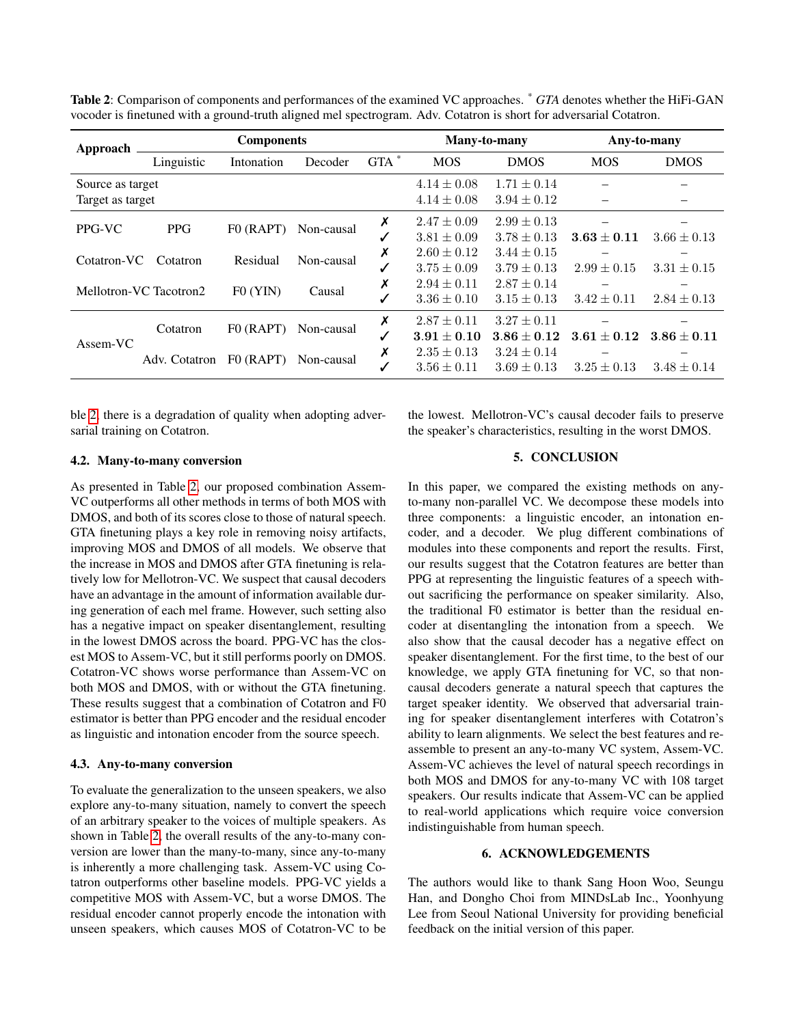| Approach         | <b>Components</b>      |                      |            | <b>Many-to-many</b> |                 | Any-to-many     |                 |                 |
|------------------|------------------------|----------------------|------------|---------------------|-----------------|-----------------|-----------------|-----------------|
|                  | Linguistic             | Intonation           | Decoder    | $GTA^*$             | <b>MOS</b>      | <b>DMOS</b>     | <b>MOS</b>      | <b>DMOS</b>     |
| Source as target |                        |                      |            | $4.14 \pm 0.08$     | $1.71 \pm 0.14$ |                 |                 |                 |
| Target as target |                        |                      |            | $4.14 \pm 0.08$     | $3.94 \pm 0.12$ |                 |                 |                 |
| PPG-VC           | <b>PPG</b>             | F0 (RAPT) Non-causal |            | X                   | $2.47 \pm 0.09$ | $2.99 \pm 0.13$ |                 |                 |
|                  |                        |                      |            |                     | $3.81 \pm 0.09$ | $3.78 \pm 0.13$ | $3.63 \pm 0.11$ | $3.66 \pm 0.13$ |
| Cotatron-VC      | Cotatron               | Residual             | Non-causal | Х                   | $2.60 \pm 0.12$ | $3.44 \pm 0.15$ |                 |                 |
|                  |                        |                      |            |                     | $3.75 \pm 0.09$ | $3.79 \pm 0.13$ | $2.99 \pm 0.15$ | $3.31 \pm 0.15$ |
|                  | Mellotron-VC Tacotron2 | $F0$ (YIN)           | Causal     | Х                   | $2.94 \pm 0.11$ | $2.87 \pm 0.14$ |                 |                 |
|                  |                        |                      |            |                     | $3.36 \pm 0.10$ | $3.15 \pm 0.13$ | $3.42 \pm 0.11$ | $2.84 \pm 0.13$ |
| Assem-VC         | Cotatron               | $F0$ (RAPT)          | Non-causal | X                   | $2.87 \pm 0.11$ | $3.27 \pm 0.11$ |                 |                 |
|                  |                        |                      |            | ✓                   | $3.91 \pm 0.10$ | $3.86 \pm 0.12$ | $3.61 \pm 0.12$ | $3.86 \pm 0.11$ |
|                  | Adv. Cotatron          | $F0$ (RAPT)          | Non-causal | X                   | $2.35 \pm 0.13$ | $3.24 \pm 0.14$ |                 |                 |
|                  |                        |                      |            | ✓                   | $3.56 \pm 0.11$ | $3.69 \pm 0.13$ | $3.25 \pm 0.13$ | $3.48 \pm 0.14$ |

<span id="page-3-0"></span>Table 2: Comparison of components and performances of the examined VC approaches. \* *GTA* denotes whether the HiFi-GAN vocoder is finetuned with a ground-truth aligned mel spectrogram. Adv. Cotatron is short for adversarial Cotatron.

ble [2,](#page-3-0) there is a degradation of quality when adopting adversarial training on Cotatron.

the lowest. Mellotron-VC's causal decoder fails to preserve the speaker's characteristics, resulting in the worst DMOS.

## 4.2. Many-to-many conversion

As presented in Table [2,](#page-3-0) our proposed combination Assem-VC outperforms all other methods in terms of both MOS with DMOS, and both of its scores close to those of natural speech. GTA finetuning plays a key role in removing noisy artifacts, improving MOS and DMOS of all models. We observe that the increase in MOS and DMOS after GTA finetuning is relatively low for Mellotron-VC. We suspect that causal decoders have an advantage in the amount of information available during generation of each mel frame. However, such setting also has a negative impact on speaker disentanglement, resulting in the lowest DMOS across the board. PPG-VC has the closest MOS to Assem-VC, but it still performs poorly on DMOS. Cotatron-VC shows worse performance than Assem-VC on both MOS and DMOS, with or without the GTA finetuning. These results suggest that a combination of Cotatron and F0 estimator is better than PPG encoder and the residual encoder as linguistic and intonation encoder from the source speech.

#### 4.3. Any-to-many conversion

To evaluate the generalization to the unseen speakers, we also explore any-to-many situation, namely to convert the speech of an arbitrary speaker to the voices of multiple speakers. As shown in Table [2,](#page-3-0) the overall results of the any-to-many conversion are lower than the many-to-many, since any-to-many is inherently a more challenging task. Assem-VC using Cotatron outperforms other baseline models. PPG-VC yields a competitive MOS with Assem-VC, but a worse DMOS. The residual encoder cannot properly encode the intonation with unseen speakers, which causes MOS of Cotatron-VC to be

#### 5. CONCLUSION

In this paper, we compared the existing methods on anyto-many non-parallel VC. We decompose these models into three components: a linguistic encoder, an intonation encoder, and a decoder. We plug different combinations of modules into these components and report the results. First, our results suggest that the Cotatron features are better than PPG at representing the linguistic features of a speech without sacrificing the performance on speaker similarity. Also, the traditional F0 estimator is better than the residual encoder at disentangling the intonation from a speech. We also show that the causal decoder has a negative effect on speaker disentanglement. For the first time, to the best of our knowledge, we apply GTA finetuning for VC, so that noncausal decoders generate a natural speech that captures the target speaker identity. We observed that adversarial training for speaker disentanglement interferes with Cotatron's ability to learn alignments. We select the best features and reassemble to present an any-to-many VC system, Assem-VC. Assem-VC achieves the level of natural speech recordings in both MOS and DMOS for any-to-many VC with 108 target speakers. Our results indicate that Assem-VC can be applied to real-world applications which require voice conversion indistinguishable from human speech.

#### 6. ACKNOWLEDGEMENTS

The authors would like to thank Sang Hoon Woo, Seungu Han, and Dongho Choi from MINDsLab Inc., Yoonhyung Lee from Seoul National University for providing beneficial feedback on the initial version of this paper.